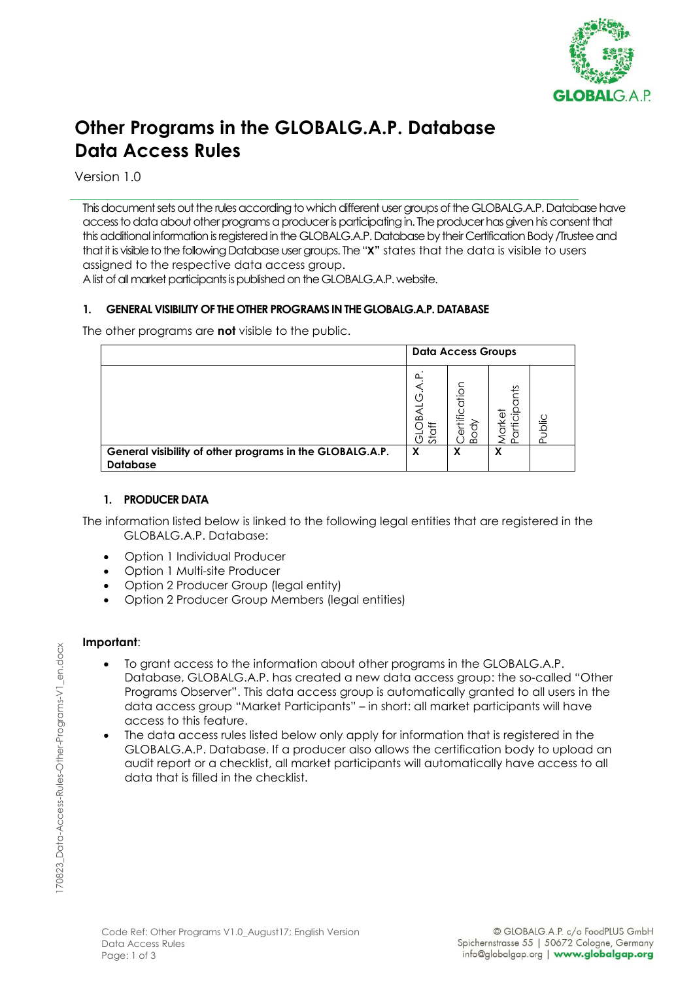

# **Other Programs in the GLOBALG.A.P. Database Data Access Rules**

Version 1.0

This document sets out the rules according to which different user groups of the GLOBALG.A.P. Database have access to data about other programs a producer is participating in. The producer has given his consent that this additional information is registered in the GLOBALG.A.P. Database by their Certification Body /Trustee and that it is visible to the following Database user groups. The "**X"** states that the data is visible to users assigned to the respective data access group.

A list of all market participants is published on the GLOBALG.A.P. website.

## **1. GENERAL VISIBILITY OF THE OTHER PROGRAMS IN THE GLOBALG.A.P. DATABASE**

The other programs are **not** visible to the public.

|                                                                             | <b>Data Access Groups</b>       |                                            |               |       |
|-----------------------------------------------------------------------------|---------------------------------|--------------------------------------------|---------------|-------|
|                                                                             | ൨<br>$\Omega$<br>⇇<br>Sta<br>'Ŋ | atior<br>tific<br>슈<br>$\overline{0}$<br>⋒ | ř<br>'۔<br>᠊╦ | Jblic |
| General visibility of other programs in the GLOBALG.A.P.<br><b>Database</b> | X                               | X                                          | х             |       |

#### **1. PRODUCER DATA**

The information listed below is linked to the following legal entities that are registered in the GLOBALG.A.P. Database:

- Option 1 Individual Producer
- Option 1 Multi-site Producer
- Option 2 Producer Group (legal entity)
- Option 2 Producer Group Members (legal entities)

#### **Important**:

- To grant access to the information about other programs in the GLOBALG.A.P. Database, GLOBALG.A.P. has created a new data access group: the so-called "Other Programs Observer". This data access group is automatically granted to all users in the data access group "Market Participants" – in short: all market participants will have access to this feature.
- The data access rules listed below only apply for information that is registered in the GLOBALG.A.P. Database. If a producer also allows the certification body to upload an audit report or a checklist, all market participants will automatically have access to all data that is filled in the checklist.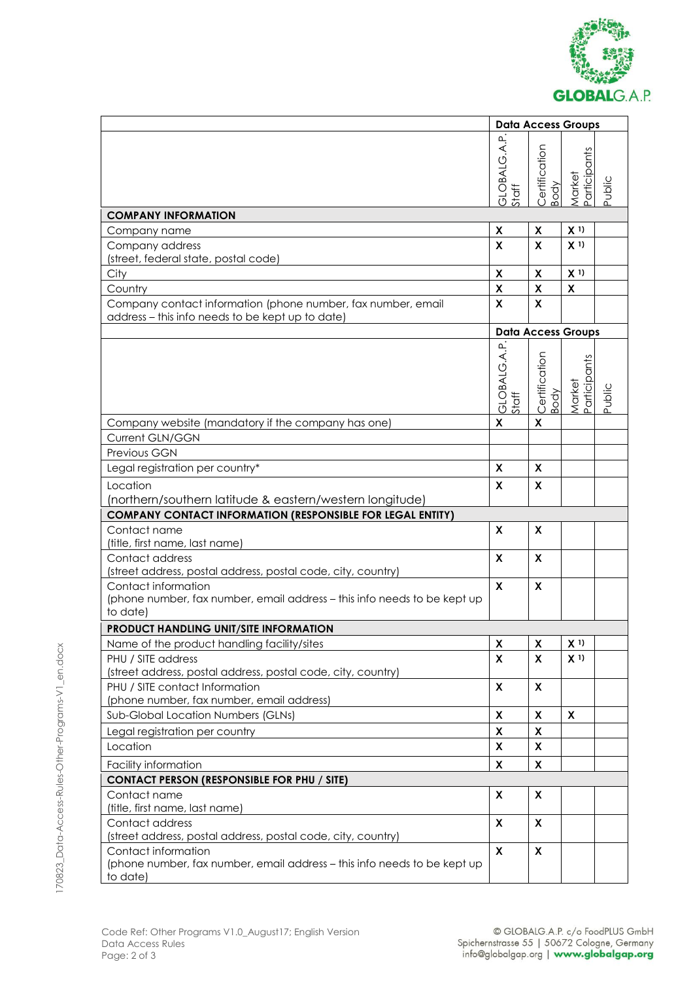

|                                                                                                                  | <b>Data Access Groups</b>   |                           |                                    |        |
|------------------------------------------------------------------------------------------------------------------|-----------------------------|---------------------------|------------------------------------|--------|
|                                                                                                                  | <b>GLOBALG.A.P</b><br>Staff | Certification<br>Body     | <sup>P</sup> articipants<br>Market | Public |
| <b>COMPANY INFORMATION</b>                                                                                       |                             |                           |                                    |        |
| Company name                                                                                                     | X                           | X                         | $\mathsf{X}$ 1)                    |        |
| Company address<br>(street, federal state, postal code)                                                          | X                           | X                         | X <sup>1</sup>                     |        |
| City                                                                                                             | $\pmb{\mathsf{X}}$          | $\pmb{\mathsf{X}}$        | X <sup>1</sup>                     |        |
| Country                                                                                                          | $\pmb{\chi}$                | $\pmb{\mathsf{X}}$        | $\pmb{\mathsf{X}}$                 |        |
| Company contact information (phone number, fax number, email<br>address - this info needs to be kept up to date) | X                           | X                         |                                    |        |
|                                                                                                                  |                             | <b>Data Access Groups</b> |                                    |        |
|                                                                                                                  | GLOBALG.A.P.<br>Staff       | Certification<br>Body     | Participants<br>Market             | Public |
| Company website (mandatory if the company has one)                                                               | X                           | X                         |                                    |        |
| Current GLN/GGN                                                                                                  |                             |                           |                                    |        |
| Previous GGN                                                                                                     |                             |                           |                                    |        |
| Legal registration per country*                                                                                  | X                           | X                         |                                    |        |
| Location<br>(northern/southern latitude & eastern/western longitude)                                             | X                           | X                         |                                    |        |
| <b>COMPANY CONTACT INFORMATION (RESPONSIBLE FOR LEGAL ENTITY)</b>                                                |                             |                           |                                    |        |
| Contact name                                                                                                     | X                           | X                         |                                    |        |
| (title, first name, last name)                                                                                   |                             |                           |                                    |        |
| Contact address<br>(street address, postal address, postal code, city, country)                                  | X                           | $\boldsymbol{\mathsf{x}}$ |                                    |        |
| Contact information<br>(phone number, fax number, email address - this info needs to be kept up<br>to date)      | X                           | $\boldsymbol{\mathsf{x}}$ |                                    |        |
| <b>PRODUCT HANDLING UNIT/SITE INFORMATION</b>                                                                    |                             |                           |                                    |        |
| Name of the product handling facility/sites                                                                      | X                           | X                         | X <sup>1</sup>                     |        |
| PHU / SITE address<br>(street address, postal address, postal code, city, country)                               | X                           | $\boldsymbol{\mathsf{X}}$ | X <sup>1</sup>                     |        |
| PHU / SITE contact Information                                                                                   | $\boldsymbol{\mathsf{x}}$   | $\pmb{\mathsf{X}}$        |                                    |        |
| (phone number, fax number, email address)                                                                        |                             |                           |                                    |        |
| Sub-Global Location Numbers (GLNs)                                                                               | X                           | X                         | X                                  |        |
| Legal registration per country                                                                                   | X                           | X                         |                                    |        |
| Location                                                                                                         | X                           | X                         |                                    |        |
| Facility information                                                                                             | $\boldsymbol{\mathsf{x}}$   | X                         |                                    |        |
| <b>CONTACT PERSON (RESPONSIBLE FOR PHU / SITE)</b>                                                               |                             |                           |                                    |        |
| Contact name<br>(title, first name, last name)                                                                   | X                           | X                         |                                    |        |
| Contact address<br>(street address, postal address, postal code, city, country)                                  | X                           | X                         |                                    |        |
| Contact information<br>(phone number, fax number, email address - this info needs to be kept up<br>to date)      | X                           | X                         |                                    |        |